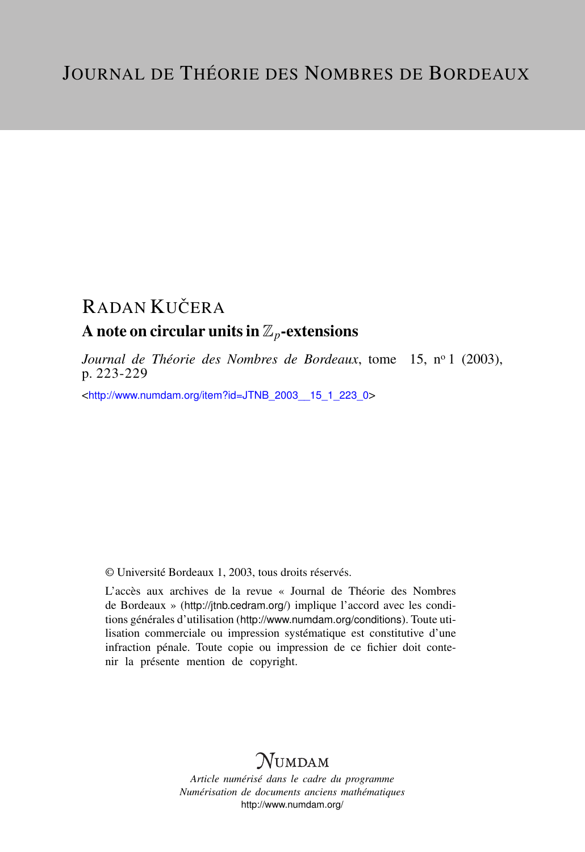# **RADAN KUČERA** A note on circular units in  $\mathbb{Z}_p$ -extensions

*Journal de Théorie des Nombres de Bordeaux*, tome 15, nº 1 (2003), p. 223-229

<[http://www.numdam.org/item?id=JTNB\\_2003\\_\\_15\\_1\\_223\\_0](http://www.numdam.org/item?id=JTNB_2003__15_1_223_0)>

© Université Bordeaux 1, 2003, tous droits réservés.

L'accès aux archives de la revue « Journal de Théorie des Nombres de Bordeaux » (<http://jtnb.cedram.org/>) implique l'accord avec les conditions générales d'utilisation (<http://www.numdam.org/conditions>). Toute utilisation commerciale ou impression systématique est constitutive d'une infraction pénale. Toute copie ou impression de ce fichier doit contenir la présente mention de copyright.

## **NUMDAM**

*Article numérisé dans le cadre du programme Numérisation de documents anciens mathématiques* <http://www.numdam.org/>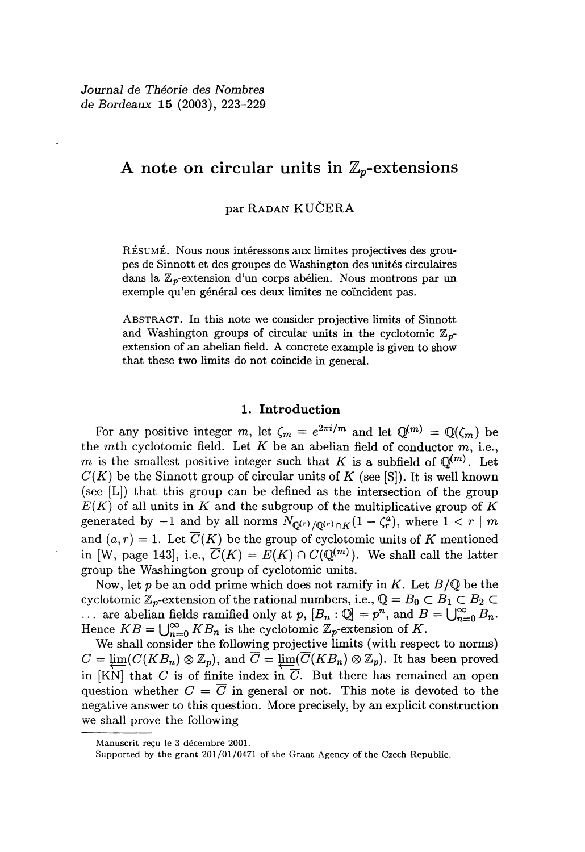### A note on circular units in  $\mathbb{Z}_p$ -extensions

### par RADAN KUCERA

RÉSUMÉ. Nous nous intéressons aux limites projectives des groupes de Sinnott et des groupes de Washington des unités circulaires dans la  $\mathbb{Z}_p$ -extension d'un corps abélien. Nous montrons par un exemple qu'en général ces deux limites ne coincident pas.

ABSTRACT. In this note we consider projective limits of Sinnott and Washington groups of circular units in the cyclotomic  $\mathbb{Z}_{p}$ extension of an abelian field. A concrete example is given to show that these two limits do not coincide in general.

#### 1. Introduction

For any positive integer m, let  $\zeta_m = e^{2\pi i/m}$  and let  $\mathbb{Q}^{(m)} = \mathbb{Q}(\zeta_m)$  be the mth cyclotomic field. Let K be an abelian field of conductor m, i.e.,  $m$  is the smallest positive integer such that K is a subfield of  $\mathbb{Q}^{(m)}$ . Let  $C(K)$  be the Sinnott group of circular units of K (see [S]). It is well known (see [L]) that this group can be defined as the intersection of the group  $E(K)$  of all units in K and the subgroup of the multiplicative group of K generated by  $-1$  and by all norms  $N_{\mathbb{Q}^{(r)}/\mathbb{Q}^{(r)} \cap K}(1 - \zeta_r^a)$ , where  $1 < r \mid m$ and  $(a, r) = 1$ . Let  $\overline{C}(K)$  be the group of cyclotomic units of K mentioned in [W, page 143], i.e.,  $\overline{C}(K) = E(K) \cap C(\mathbb{Q}^{(m)})$ . We shall call the latter group the Washington group of cyclotomic units.

Now, let p be an odd prime which does not ramify in K. Let  $B/\mathbb{Q}$  be the cyclotomic  $\mathbb{Z}_p$ -extension of the rational numbers, i.e.,  $\mathbb{Q} = B_0 \subset B_1 \subset B_2 \subset$ cyclotomic  $\mathbb{Z}_p$ -extension of the rational numbers, i.e.,  $\mathbb{Q} = B_0 \subset B_1 \subset B_2 \subset \dots$  are abelian fields ramified only at  $p$ ,  $[B_n : \mathbb{Q}] = p^n$ , and  $B = \bigcup_{n=0}^{\infty} B_n$ .<br>Hence  $KB = \bigcup_{n=0}^{\infty} KB$  is the avelatomic  $\mathbb{Z}$ Hence  $KB = \bigcup_{n=0}^{\infty} KB_n$  is the cyclotomic  $\mathbb{Z}_p$ -extension of K.

We shall consider the following projective limits (with respect to norms)  $C = \underline{\lim}(C(KB_n) \otimes \mathbb{Z}_p)$ , and  $\overline{C} = \underline{\lim}(\overline{C}(KB_n) \otimes \mathbb{Z}_p)$ . It has been proved in [KN] that C is of finite index in  $\overline{C}$ . But there has remained an open question whether  $C = \overline{C}$  in general or not. This note is devoted to the negative answer to this question. More precisely, by an explicit construction we shall prove the following

Manuscrit reçu le 3 décembre 2001.

Supported by the grant 201/01/0471 of the Grant Agency of the Czech Republic.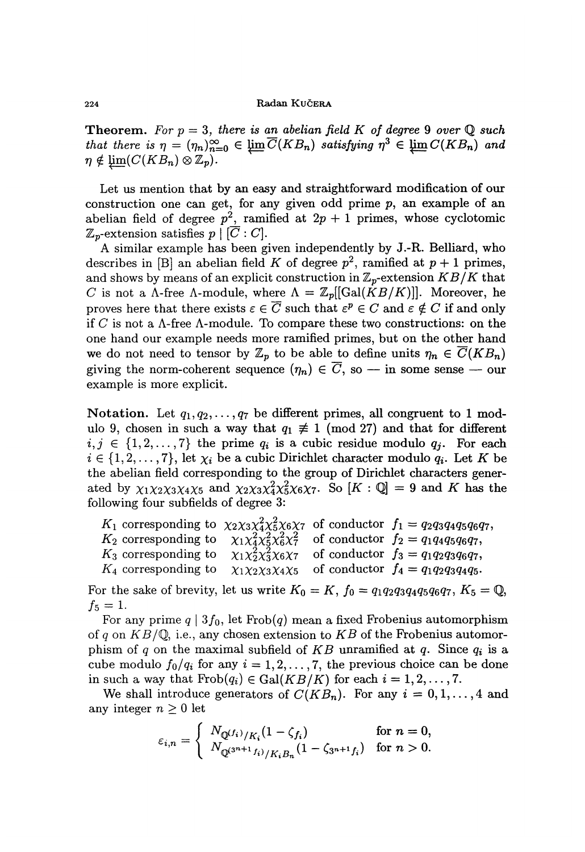**Theorem.** For  $p = 3$ , there is an abelian field K of degree 9 over Q such 224<br> **Theorem.** For  $p = 3$ ,<br>
that there is  $\eta = (\eta_n)_{n=0}^{\infty}$ <br>  $\eta \notin \underleftarrow{\lim}_{n=0} (C(KB_n) \otimes \mathbb{Z}_p)$ .<br>
Let us mention that<br>
construction one can g that there is  $\eta = (\eta_n)_{n=0}^{\infty} \in \varprojlim \overline{C}(KB_n)$  satisfying  $\eta^3 \in \varprojlim C(KB_n)$  and  $\eta \notin \varprojlim (C(KB_n) \otimes \mathbb{Z}_p)$ .

Let us mention that by an easy and straightforward modification of our construction one can get, for any given odd prime  $p$ , an example of an abelian field of degree  $p^2$ , ramified at  $2p + 1$  primes, whose cyclotomic  $\mathbb{Z}_p$ -extension satisfies  $p \mid [\overline{C}:C].$ 

A similar example has been given independently by J.-R. Belliard, who describes in [B] an abelian field K of degree  $p^2$ , ramified at  $p + 1$  primes, and shows by means of an explicit construction in  $\mathbb{Z}_p$ -extension  $KB/K$  that C is not a  $\Lambda$ -free  $\Lambda$ -module, where  $\Lambda = \mathbb{Z}_p[[\text{Gal}(KB/K)]]$ . Moreover, he proves here that there exists  $\varepsilon \in \overline{C}$  such that  $\varepsilon^p \in C$  and  $\varepsilon \notin C$  if and only if C is not a  $\Lambda$ -free  $\Lambda$ -module. To compare these two constructions: on the one hand our example needs more ramified primes, but on the other hand we do not need to tensor by  $\mathbb{Z}_p$  to be able to define units  $\eta_n \in \overline{C}(KB_n)$ giving the norm-coherent sequence  $(\eta_n) \in \overline{C}$ , so - in some sense - our example is more explicit.

Notation. Let  $q_1, q_2, \ldots, q_7$  be different primes, all congruent to 1 modulo 9, chosen in such a way that  $q_1 \not\equiv 1 \pmod{27}$  and that for different  $i, j \in \{1, 2, \ldots, 7\}$  the prime  $q_i$  is a cubic residue modulo  $q_j$ . For each  $i \in \{1, 2, \ldots, 7\}$ , let  $\chi_i$  be a cubic Dirichlet character modulo  $q_i$ . Let K be the abelian field corresponding to the group of Dirichlet characters generated by  $\chi_1\chi_2\chi_3\chi_4\chi_5$  and  $\chi_2\chi_3\chi_4^2\chi_5^2\chi_6\chi_7$ . So  $[K:\mathbb{Q}]=9$  and K has the following four subfields of degree 3:

|                                                                                                                |  | $K_1$ corresponding to $\chi_2 \chi_3 \chi_4^2 \chi_5^2 \chi_6 \chi_7$ of conductor $f_1 = q_2 q_3 q_4 q_5 q_6 q_7$ , |
|----------------------------------------------------------------------------------------------------------------|--|-----------------------------------------------------------------------------------------------------------------------|
| $K_2$ corresponding to $\chi_1 \chi_4^2 \chi_5^2 \chi_6^2 \chi_7^2$ of conductor $f_2 = q_1 q_4 q_5 q_6 q_7$ , |  |                                                                                                                       |
| $K_3$ corresponding to $\chi_1 \chi_2^2 \chi_3^2 \chi_6 \chi_7$                                                |  | of conductor $f_3 = q_1 q_2 q_3 q_6 q_7$ ,                                                                            |
| $K_4$ corresponding to                                                                                         |  | $\chi_1 \chi_2 \chi_3 \chi_4 \chi_5$ of conductor $f_4 = q_1 q_2 q_3 q_4 q_5$ .                                       |

For the sake of brevity, let us write  $K_0 = K$ ,  $f_0 = q_1q_2q_3q_4q_5q_6q_7$ ,  $K_5 = \mathbb{Q}$ ,  $f_5 = 1.$ 

For any prime  $q | 3f_0$ , let Frob $(q)$  mean a fixed Frobenius automorphism of q on  $KB/\mathbb{Q}$ , i.e., any chosen extension to  $KB$  of the Frobenius automorphism of q on the maximal subfield of KB unramified at q. Since  $q_i$  is a cube modulo  $f_0/q_i$  for any  $i = 1, 2, ..., 7$ , the previous choice can be done in such a way that  $Frob(q_i) \in Gal(KB/K)$  for each  $i = 1, 2, ..., 7$ .

We shall introduce generators of  $C(KB_n)$ . For any  $i = 0, 1, ..., 4$  and any integer  $n \geq 0$  let

$$
\varepsilon_{i,n} = \begin{cases} N_{\mathbb{Q}^{(f_i)}/K_i} (1 - \zeta_{f_i}) & \text{for } n = 0, \\ N_{\mathbb{Q}^{(3^{n+1} f_i)}/K_i B_n} (1 - \zeta_{3^{n+1} f_i}) & \text{for } n > 0. \end{cases}
$$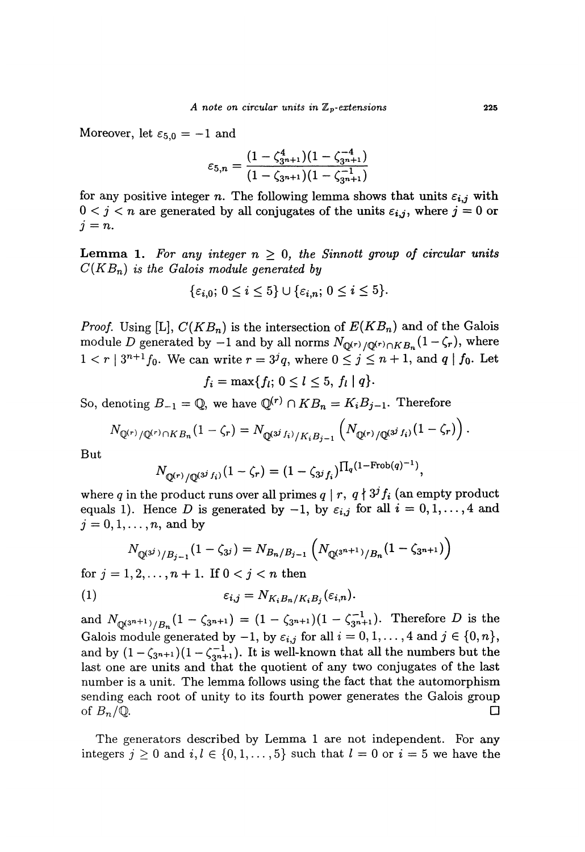Moreover, let  $\varepsilon_{5,0} = -1$  and

$$
\varepsilon_{5,n} = \frac{(1 - \zeta_{3n+1}^4)(1 - \zeta_{3n+1}^{-4})}{(1 - \zeta_{3n+1})(1 - \zeta_{3n+1}^{-1})}
$$

for any positive integer n. The following lemma shows that units  $\varepsilon_{i,j}$  with  $0 < j < n$  are generated by all conjugates of the units  $\varepsilon_{i,j}$ , where  $j = 0$  or  $j = n$ .

**Lemma 1.** For any integer  $n \geq 0$ , the Sinnott group of circular units  $C(K B_n)$  is the Galois module generated by

$$
\{\varepsilon_{i,0};\,0\leq i\leq 5\}\cup\{\varepsilon_{i,n};\,0\leq i\leq 5\}.
$$

*Proof.* Using [L],  $C(KB_n)$  is the intersection of  $E(KB_n)$  and of the Galois module D generated by  $-1$  and by all norms  $N_{\mathbb{Q}^{(r)}/\mathbb{Q}^{(r)} \cap KB_n}(1-\zeta_r)$ , where  $1 < r \mid 3^{n+1} f_0$ . We can write  $r = 3^j q$ , where  $0 \le j \le n + 1$ , and  $q \mid f_0$ . Let

$$
f_i = \max\{f_l; 0 \leq l \leq 5, f_l \mid q\}
$$

So, denoting  $B_{-1} = \mathbb{Q}$ , we have  $\mathbb{Q}^{(r)} \cap KB_n = K_iB_{j-1}$ . Therefore

$$
N_{\mathbb{Q}^{(r)}/\mathbb{Q}^{(r)}\cap KB_n}(1-\zeta_r) = N_{\mathbb{Q}^{(3^j f_i)}/K_iB_{j-1}}\left(N_{\mathbb{Q}^{(r)}/\mathbb{Q}^{(3^j f_i)}}(1-\zeta_r)\right).
$$

But

$$
N_{\mathbb{Q}^{(r)}/\mathbb{Q}^{(3^j f_i)}}(1-\zeta_r)=(1-\zeta_{3^j f_i})^{\prod_q(1-\text{Frob}(q)^{-1})},
$$

where q in the product runs over all primes  $q | r, q \nmid 3^j f_i$  (an empty product equals 1). Hence D is generated by  $-1$ , by  $\varepsilon_{i,j}$  for all  $i = 0,1,\ldots, 4$  and  $j = 0, 1, \ldots, n$ , and by

$$
N_{\mathbb{Q}^{(3^j)}/B_{j-1}}(1-\zeta_{3^j})=N_{B_n/B_{j-1}}\left(N_{\mathbb{Q}^{(3^{n+1})}/B_n}(1-\zeta_{3^{n+1}})\right)
$$

for  $j = 1, 2, ..., n + 1$ . If  $0 < j < n$  then

$$
\varepsilon_{i,j} = N_{K_i B_n / K_i B_j}(\varepsilon_{i,n}).
$$

and  $N_{\mathbb{Q}^{(3^{n+1})}/B_n}(1 - \zeta_{3^{n+1}}) = (1 - \zeta_{3^{n+1}})(1 - \zeta_{3^{n+1}}^{-1})$ . Therefore D is the Galois module generated by  $-1$ , by  $\varepsilon_{i,j}$  for all  $i = 0, 1, ..., 4$  and  $j \in \{0, n\}$ , and by  $(1-\zeta_{3n+1})(1-\zeta_{3n+1}^{-1})$ . It is well-known that all the numbers but the last one are units and that the quotient of any two conjugates of the last number is a unit. The lemma follows using the fact that the automorphism sending each root of unity to its fourth power generates the Galois group of  $B_n/\mathbb{Q}$ .

The generators described by Lemma 1 are not independent. For any integers  $j \geq 0$  and  $i, l \in \{0,1,\ldots,5\}$  such that  $l = 0$  or  $i = 5$  we have the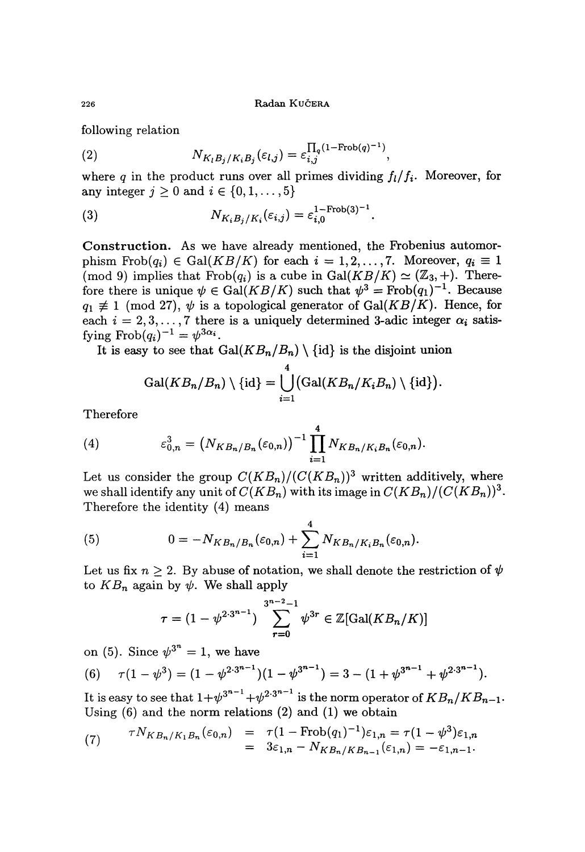Radan KUČERA

following relation

(2) 
$$
N_{K_l B_j/K_i B_j}(\varepsilon_{l,j}) = \varepsilon_{i,j}^{\prod_q (1-\text{Frob}(q)^{-1})},
$$

where q in the product runs over all primes dividing  $f_i/f_i$ . Moreover, for any integer  $j \geq 0$  and  $i \in \{0, 1, \ldots, 5\}$ 

(3) 
$$
N_{K_i B_j/K_i}(\varepsilon_{i,j}) = \varepsilon_{i,0}^{1-\text{Frob}(3)^{-1}}
$$

Construction. As we have already mentioned, the Frobenius automorphism  $Frob(q_i) \in Gal(KB/K)$  for each  $i = 1, 2, ..., 7$ . Moreover,  $q_i \equiv 1$ (mod 9) implies that  $Frob(q_i)$  is a cube in  $Gal(KB/K) \simeq (\mathbb{Z}_3, +)$ . Therefore there is unique  $\psi \in \text{Gal}(KB/K)$  such that  $\psi^3 = \text{Frob}(q_1)^{-1}$ . Because  $q_1 \neq 1 \pmod{27}$ ,  $\psi$  is a topological generator of Gal(*KB*/*K*). Hence, for each  $i = 2, 3, ..., 7$  there is a uniquely determined 3-adic integer  $\alpha_i$  satisfying  $Frob(q_i)^{-1} = \psi^{3\alpha_i}$ .

It is easy to see that  $Gal(KB_n/B_n) \setminus {\text{id}}$  is the disjoint union

$$
\operatorname{Gal}(KB_n/B_n)\setminus\{\operatorname{id}\}=\bigcup_{i=1}^4\bigl(\operatorname{Gal}(KB_n/K_iB_n)\setminus\{\operatorname{id}\}\bigr).
$$

Therefore

(4) 
$$
\epsilon_{0,n}^3 = (N_{KB_n/B_n}(\epsilon_{0,n}))^{-1} \prod_{i=1}^4 N_{KB_n/K_iB_n}(\epsilon_{0,n}).
$$

Let us consider the group  $C(KB_n)/(C(KB_n))^3$  written additively, where we shall identify any unit of  $C(KB_n)$  with its image in  $C(KB_n)/(C(KB_n))^3$ . Therefore the identity (4) means

(5) 
$$
0 = -N_{KB_n/B_n}(\varepsilon_{0,n}) + \sum_{i=1}^{4} N_{KB_n/K_iB_n}(\varepsilon_{0,n}).
$$

Let us fix  $n \geq 2$ . By abuse of notation, we shall denote the restriction of  $\psi$ to  $KB_n$  again by  $\psi$ . We shall apply

$$
\tau = (1 - \psi^{2 \cdot 3^{n-1}}) \sum_{r=0}^{3^{n-2}-1} \psi^{3r} \in \mathbb{Z}[\text{Gal}(KB_n/K)]
$$

on (5). Since  $\psi^{3^n} = 1$ , we have

(6) 
$$
\tau(1-\psi^3)=(1-\psi^{2\cdot 3^{n-1}})(1-\psi^{3^{n-1}})=3-(1+\psi^{3^{n-1}}+\psi^{2\cdot 3^{n-1}}).
$$

It is easy to see that  $1+\psi^{3^{n-1}}+\psi^{2\cdot3^{n-1}}$  is the norm operator of  $KB_n/KB_{n-1}$ . Using (6) and the norm relations (2) and (1) we obtain

(7) 
$$
\tau N_{KB_n/K_1B_n}(\varepsilon_{0,n}) = \tau (1 - \text{Frob}(q_1)^{-1}) \varepsilon_{1,n} = \tau (1 - \psi^3) \varepsilon_{1,n} = 3\varepsilon_{1,n} - N_{KB_n/KB_{n-1}}(\varepsilon_{1,n}) = -\varepsilon_{1,n-1}.
$$

226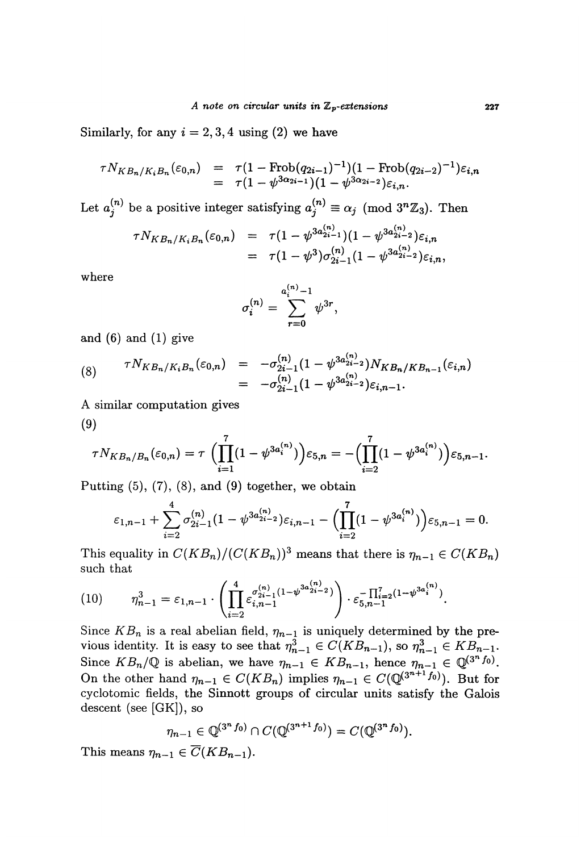Similarly, for any  $i = 2, 3, 4$  using (2) we have

$$
\tau N_{KB_n/K_iB_n}(\varepsilon_{0,n}) = \tau (1 - \text{Frob}(q_{2i-1})^{-1})(1 - \text{Frob}(q_{2i-2})^{-1})\varepsilon_{i,n}
$$
  
= 
$$
\tau (1 - \psi^{3\alpha_{2i-1}})(1 - \psi^{3\alpha_{2i-2}})\varepsilon_{i,n}.
$$

Let  $a_j^{(n)}$  be a positive integer satisfying  $a_j^{(n)} \equiv \alpha_j \pmod{3^n \mathbb{Z}_3}$ . Then

$$
\tau N_{KB_n/K_iB_n}(\varepsilon_{0,n}) = \tau (1 - \psi^{3a_{2i-1}^{(n)}})(1 - \psi^{3a_{2i-2}^{(n)}})\varepsilon_{i,n} \n= \tau (1 - \psi^3)\sigma_{2i-1}^{(n)}(1 - \psi^{3a_{2i-2}^{(n)}})\varepsilon_{i,n},
$$

where

$$
\sigma_i^{(n)} = \sum_{r=0}^{a_i^{(n)}-1} \psi^{3r},
$$

and  $(6)$  and  $(1)$  give

(8) 
$$
\tau N_{KB_n/K_iB_n}(\varepsilon_{0,n}) = -\sigma_{2i-1}^{(n)}(1-\psi^{3a_{2i-2}^{(n)}})N_{KB_n/KB_{n-1}}(\varepsilon_{i,n})
$$

$$
= -\sigma_{2i-1}^{(n)}(1-\psi^{3a_{2i-2}^{(n)}})\varepsilon_{i,n-1}.
$$

A similar computation gives  $(9)$ 

$$
\tau N_{KB_n/B_n}(\varepsilon_{0,n}) = \tau \left( \prod_{i=1}^7 (1 - \psi^{3a_i^{(n)}}) \right) \varepsilon_{5,n} = - \left( \prod_{i=2}^7 (1 - \psi^{3a_i^{(n)}}) \right) \varepsilon_{5,n-1}.
$$

Putting  $(5)$ ,  $(7)$ ,  $(8)$ , and  $(9)$  together, we obtain

$$
\varepsilon_{1,n-1} + \sum_{i=2}^4 \sigma_{2i-1}^{(n)} (1 - \psi^{3a_{2i-2}^{(n)}}) \varepsilon_{i,n-1} - \Biggl( \prod_{i=2}^7 (1 - \psi^{3a_i^{(n)}}) \Biggr) \varepsilon_{5,n-1} = 0.
$$

This equality in  $C(KB_n)/(C(KB_n))^3$  means that there is  $\eta_{n-1} \in C(KB_n)$ such that

$$
(10) \qquad \eta_{n-1}^3 = \varepsilon_{1,n-1} \cdot \left( \prod_{i=2}^4 \varepsilon_{i,n-1}^{\sigma_{2i-1}^{(n)}(1-\psi^{3a_{2i-2}^{(n)}})} \right) \cdot \varepsilon_{5,n-1}^{-\prod_{i=2}^7 (1-\psi^{3a_i^{(n)}})}.
$$

Since  $KB_n$  is a real abelian field,  $\eta_{n-1}$  is uniquely determined by the previous identity. It is easy to see that  $\eta_{n-1}^3 \in C(KB_{n-1})$ , so  $\eta_{n-1}^3 \in KB_{n-1}$ . Since  $KB_n/\mathbb{Q}$  is abelian, we have  $\eta_{n-1} \in KB_{n-1}$ , hence  $\eta_{n-1} \in \mathbb{Q}^{(3^n f_0)}$ . On the other hand  $\eta_{n-1} \in C(KB_n)$  implies  $\eta_{n-1} \in C(\mathbb{Q}^{3^{n+1}f_0})$ . But for cyclotomic fields, the Sinnott groups of circular units satisfy the Galois descent (see [GK]), so

$$
\eta_{n-1} \in \mathbb{Q}^{(3^n f_0)} \cap C(\mathbb{Q}^{(3^{n+1} f_0)}) = C(\mathbb{Q}^{(3^n f_0)}).
$$

This means  $\eta_{n-1} \in \overline{C}(KB_{n-1}).$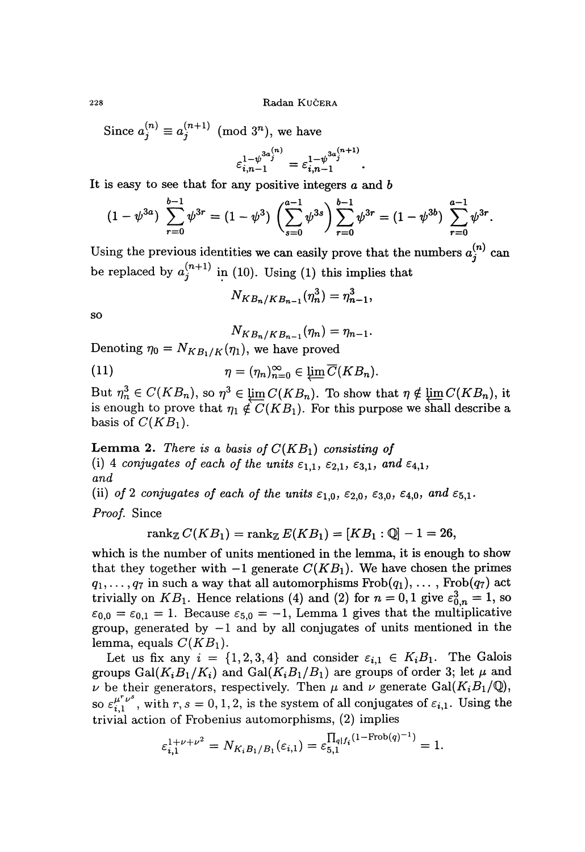Since  $a_j^{(n)} \equiv a_j^{(n+1)} \pmod{3^n}$ , we have

$$
\varepsilon_{i,n-1}^{1-\psi^{3a_j^{(n)}}} = \varepsilon_{i,n-1}^{1-\psi^{3a_j^{(n+1)}}}.
$$

It is easy to see that for any positive integers  $a$  and  $b$ 

$$
(1 - \psi^{3a}) \sum_{r=0}^{b-1} \psi^{3r} = (1 - \psi^3) \left( \sum_{s=0}^{a-1} \psi^{3s} \right) \sum_{r=0}^{b-1} \psi^{3r} = (1 - \psi^{3b}) \sum_{r=0}^{a-1} \psi^{3r}.
$$

Using the previous identities we can easily prove that the numbers  $a_j^{(n)}$  can be replaced by  $a_j^{(n+1)}$  in (10). Using (1) this implies that

$$
N_{KB_n/KB_{n-1}}(\eta_n^3)=\eta_{n-1}^3,
$$

so

$$
N_{KB_n/KB_{n-1}}(\eta_n)=\eta_{n-1}.
$$

Denoting  $\eta_0 = N_{KB_1/K}(\eta_1)$ , we have proved

(11) 
$$
\eta = (\eta_n)_{n=0}^{\infty} \in \varprojlim \overline{C}(KB_n).
$$

 $\in C(KB_n)$ , so  $\eta^3 \in \varprojlim C(KB_n)$ . To show that  $\eta \notin \varprojlim C(KB_n)$ , it is enough to prove that  $\eta_1 \notin C(KB_1)$ . For this purpose we shall describe a basis of  $C(KB_1)$ .

**Lemma 2.** There is a basis of  $C(KB<sub>1</sub>)$  consisting of (i) 4 conjugates of each of the units  $\varepsilon_{1,1}$ ,  $\varepsilon_{2,1}$ ,  $\varepsilon_{3,1}$ , and  $\varepsilon_{4,1}$ , and  $\int$  and  $\int$   $\frac{1}{2}$   $\int$   $\frac{1}{2}$   $\int$   $\frac{1}{2}$   $\int$   $\frac{1}{2}$   $\int$   $\frac{1}{2}$   $\int$   $\frac{1}{2}$   $\int$   $\frac{1}{2}$   $\int$   $\frac{1}{2}$   $\int$   $\frac{1}{2}$   $\int$   $\frac{1}{2}$   $\int$   $\frac{1}{2}$   $\int$   $\frac{1}{2}$   $\int$   $\frac{1}{2}$   $\int$   $\frac{1}{2}$   $\$ 

(ii) of 2 conjugates of each of the units  $\varepsilon_{1,0}$ ,  $\varepsilon_{2,0}$ ,  $\varepsilon_{3,0}$ ,  $\varepsilon_{4,0}$ , and  $\varepsilon_{5,1}$ . Proof. Since

$$
\operatorname{rank}_{\mathbb{Z}} C(KB_1) = \operatorname{rank}_{\mathbb{Z}} E(KB_1) = [KB_1 : \mathbb{Q}] - 1 = 26,
$$

which is the number of units mentioned in the lemma, it is enough to show that they together with  $-1$  generate  $C(KB_1)$ . We have chosen the primes  $q_1, \ldots, q_7$  in such a way that all automorphisms  $Frob(q_1), \ldots, Frob(q_7)$  act trivially on  $KB_1$ . Hence relations (4) and (2) for  $n = 0, 1$  give  $\varepsilon_{0,n}^3 = 1$ , so  $\varepsilon_{0,0} = \varepsilon_{0,1} = 1$ . Because  $\varepsilon_{5,0} = -1$ , Lemma 1 gives that the multiplicative group, generated by  $-1$  and by all conjugates of units mentioned in the lemma, equals  $C(KB_1)$ .

Let us fix any  $i = \{1, 2, 3, 4\}$  and consider  $\varepsilon_{i,1} \in K_i B_1$ . The Galois groups Gal( $K_i B_1 / K_i$ ) and Gal( $K_i B_1 / B_1$ ) are groups of order 3; let  $\mu$  and  $\nu$  be their generators, respectively. Then  $\mu$  and  $\nu$  generate Gal( $K_i B_1 / \mathbb{Q}$ ), so  $\varepsilon_{i,1}^{\mu^r \nu^s}$ , with  $r, s = 0, 1, 2$ , is the system of all conjugates of  $\varepsilon_{i,1}$ . Using the trivial action of Frobenius automorphisms, (2) implies

$$
\varepsilon_{i,1}^{1+\nu+\nu^2} = N_{K_iB_1/B_1}(\varepsilon_{i,1}) = \varepsilon_{5,1}^{\prod_{q|f_i}(1-\text{Frob}(q)^{-1})} = 1
$$

228